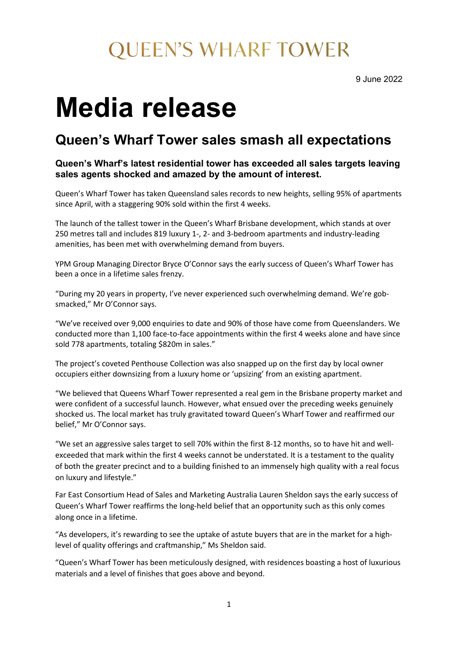### **QUEEN'S WHARF TOWER**

9 June 2022

# **Media release**

### **Queen's Wharf Tower sales smash all expectations**

#### **Queen's Wharf's latest residential tower has exceeded all sales targets leaving sales agents shocked and amazed by the amount of interest.**

Queen's Wharf Tower has taken Queensland sales records to new heights, selling 95% of apartments since April, with a staggering 90% sold within the first 4 weeks.

The launch of the tallest tower in the Queen's Wharf Brisbane development, which stands at over 250 metres tall and includes 819 luxury 1-, 2- and 3-bedroom apartments and industry-leading amenities, has been met with overwhelming demand from buyers.

YPM Group Managing Director Bryce O'Connor says the early success of Queen's Wharf Tower has been a once in a lifetime sales frenzy.

"During my 20 years in property, I've never experienced such overwhelming demand. We're gobsmacked," Mr O'Connor says.

"We've received over 9,000 enquiries to date and 90% of those have come from Queenslanders. We conducted more than 1,100 face-to-face appointments within the first 4 weeks alone and have since sold 778 apartments, totaling \$820m in sales."

The project's coveted Penthouse Collection was also snapped up on the first day by local owner occupiers either downsizing from a luxury home or 'upsizing' from an existing apartment.

"We believed that Queens Wharf Tower represented a real gem in the Brisbane property market and were confident of a successful launch. However, what ensued over the preceding weeks genuinely shocked us. The local market has truly gravitated toward Queen's Wharf Tower and reaffirmed our belief," Mr O'Connor says.

"We set an aggressive sales target to sell 70% within the first 8-12 months, so to have hit and wellexceeded that mark within the first 4 weeks cannot be understated. It is a testament to the quality of both the greater precinct and to a building finished to an immensely high quality with a real focus on luxury and lifestyle."

Far East Consortium Head of Sales and Marketing Australia Lauren Sheldon says the early success of Queen's Wharf Tower reaffirms the long-held belief that an opportunity such as this only comes along once in a lifetime.

"As developers, it's rewarding to see the uptake of astute buyers that are in the market for a highlevel of quality offerings and craftmanship," Ms Sheldon said.

"Queen's Wharf Tower has been meticulously designed, with residences boasting a host of luxurious materials and a level of finishes that goes above and beyond.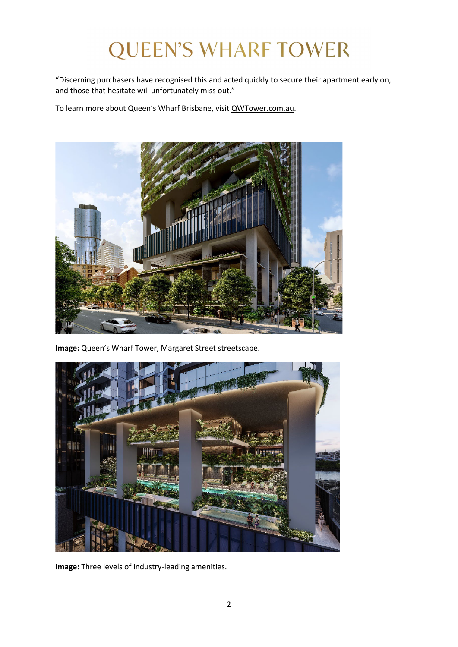## **QUEEN'S WHARF TOWER**

"Discerning purchasers have recognised this and acted quickly to secure their apartment early on, and those that hesitate will unfortunately miss out."

To learn more about Queen's Wharf Brisbane, visit [QWTower.com.au.](http://qwtower.com.au/)



**Image:** Queen's Wharf Tower, Margaret Street streetscape.



**Image:** Three levels of industry-leading amenities.